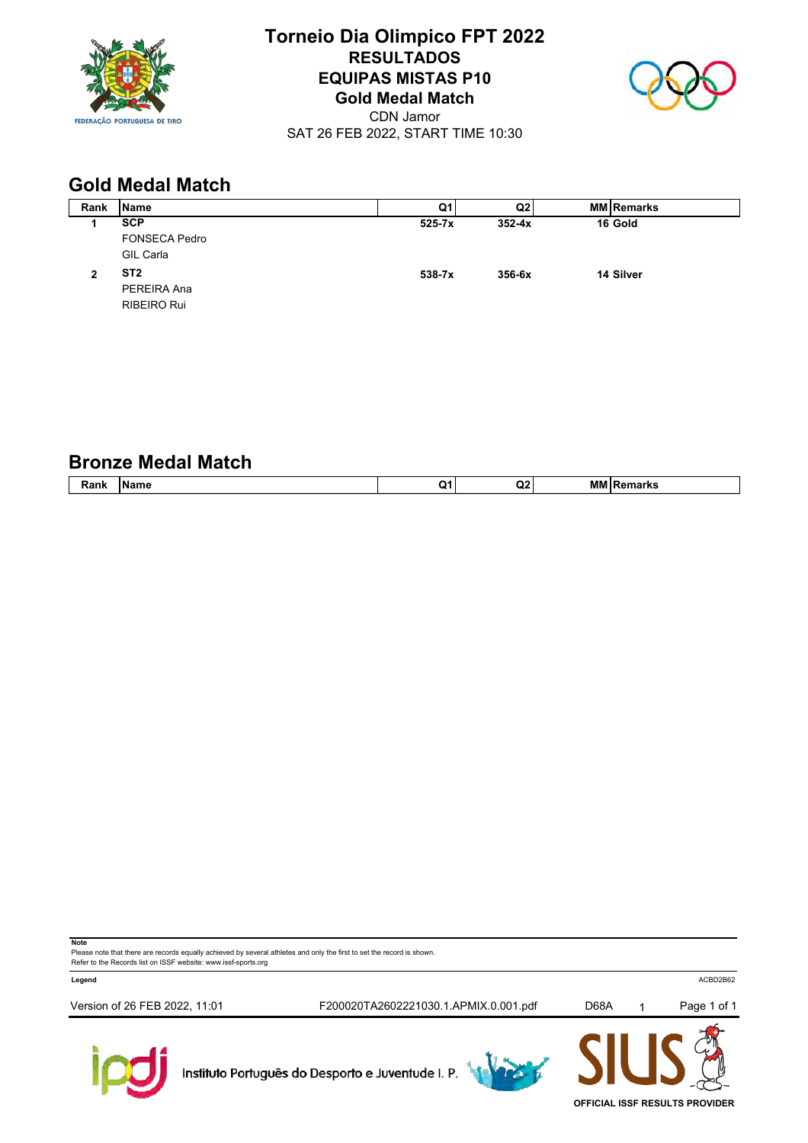

# **Torneio Dia Olimpico FPT 2022 RESULTADOS EQUIPAS MISTAS P10 Gold Medal Match**



CDN Jamor SAT 26 FEB 2022, START TIME 10:30

# **Gold Medal Match**

| Rank | <b>Name</b>          | Q1         | Q2         | <b>MM Remarks</b> |
|------|----------------------|------------|------------|-------------------|
|      | <b>SCP</b>           | $525 - 7x$ | $352 - 4x$ | 16 Gold           |
|      | <b>FONSECA Pedro</b> |            |            |                   |
|      | GIL Carla            |            |            |                   |
| 2    | ST <sub>2</sub>      | 538-7x     | $356 - 6x$ | 14 Silver         |
|      | PEREIRA Ana          |            |            |                   |
|      | RIBEIRO Rui          |            |            |                   |
|      |                      |            |            |                   |

#### **Bronze Medal Match**

| $\overline{\phantom{a}}$<br>ank<br>1.1.1.1 | ----<br>⊪Name | -<br>O1. | $\sim$<br>w<br>. . | -----<br>мı | m |
|--------------------------------------------|---------------|----------|--------------------|-------------|---|
|                                            |               |          |                    |             |   |

**Note**

Please note that there are records equally achieved by several athletes and only the first to set the record is shown. Refer to the Records list on ISSF website: www.issf-sports.org

**Legend** ACBD2B62

Version of 26 FEB 2022, 11:01 F200020TA2602221030.1.APMIX.0.001.pdf D68A 1 Page 1 of 1



Instituto Português do Desporto e Juventude I. P.





**OFFICIAL ISSF RESULTS PROVIDER**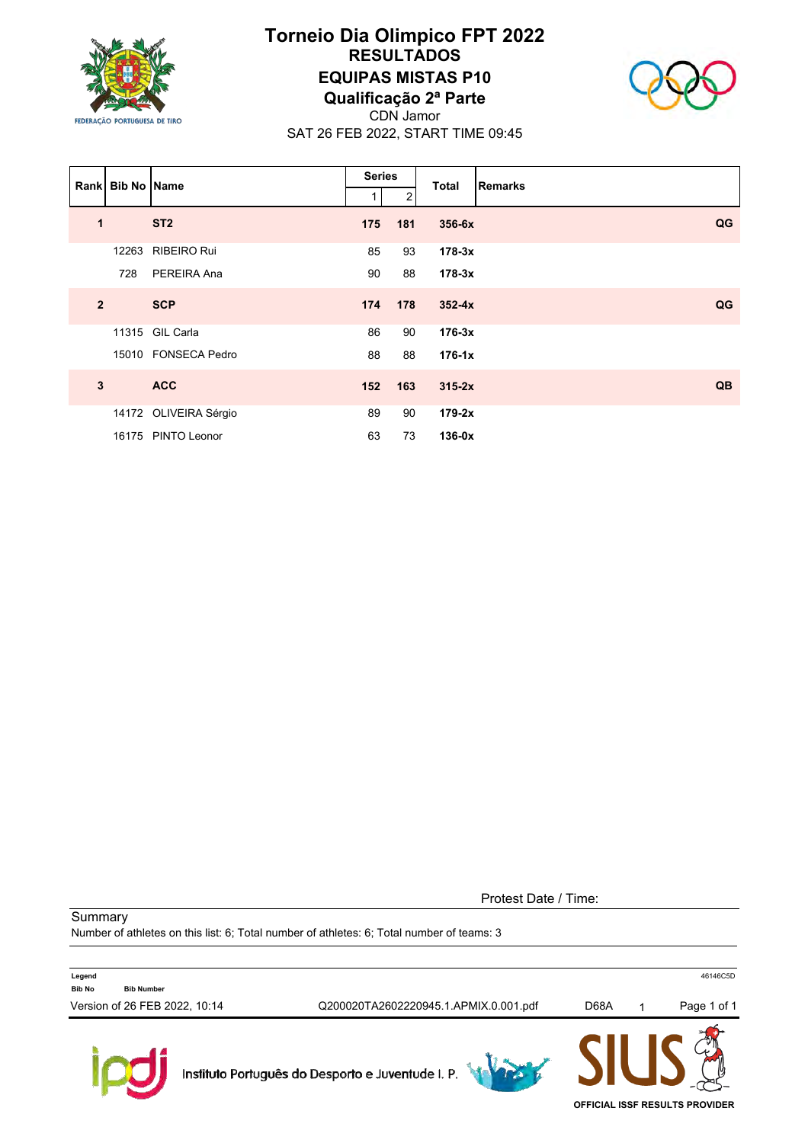

## **Torneio Dia Olimpico FPT 2022 RESULTADOS EQUIPAS MISTAS P10 Qualificação 2ª Parte**



CDN Jamor SAT 26 FEB 2022, START TIME 09:45

|                | Rank Bib No Name |                       | <b>Series</b> |                | <b>Total</b> | Remarks |
|----------------|------------------|-----------------------|---------------|----------------|--------------|---------|
|                |                  |                       |               | $\overline{2}$ |              |         |
| $\mathbf 1$    |                  | ST <sub>2</sub>       | 175           | 181            | 356-6x       | QG      |
|                |                  | 12263 RIBEIRO Rui     | 85            | 93             | $178-3x$     |         |
|                | 728              | PEREIRA Ana           | 90            | 88             | $178-3x$     |         |
| $\overline{2}$ |                  | <b>SCP</b>            | 174           | 178            | $352 - 4x$   | QG      |
|                |                  | 11315 GIL Carla       | 86            | 90             | $176-3x$     |         |
|                |                  | 15010 FONSECA Pedro   | 88            | 88             | $176-1x$     |         |
| 3              |                  | <b>ACC</b>            | 152           | 163            | $315-2x$     | QB      |
|                |                  | 14172 OLIVEIRA Sérgio | 89            | 90             | $179-2x$     |         |
|                |                  | 16175 PINTO Leonor    | 63            | 73             | $136-0x$     |         |

Protest Date / Time:

**Summary** 

 $\mathbb{R}$ 

Number of athletes on this list: 6; Total number of athletes: 6; Total number of teams: 3

|                                              | Instituto Português do Desporto e Juventude I. P. |      |             |
|----------------------------------------------|---------------------------------------------------|------|-------------|
| Version of 26 FEB 2022, 10:14                | Q200020TA2602220945.1.APMIX.0.001.pdf             | D68A | Page 1 of 1 |
| Legend<br><b>Bib No</b><br><b>Bib Number</b> |                                                   |      | 46146C5D    |

**OFFICIAL ISSF RESULTS PROVIDER**